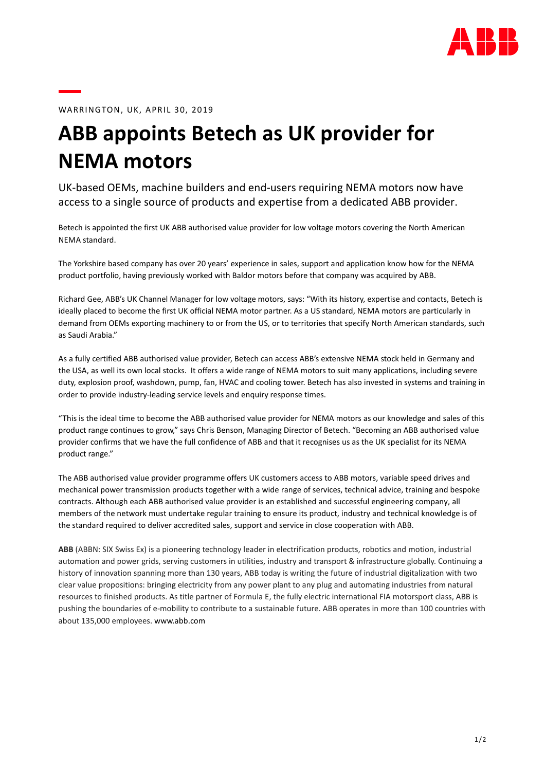

WARRINGTON, UK, APRIL 30, 2019

## ABB appoints Betech as UK provider for NEMA motors

UK-based OEMs, machine builders and end-users requiring NEMA motors now have access to a single source of products and expertise from a dedicated ABB provider.

Betech is appointed the first UK ABB authorised value provider for low voltage motors covering the North American NEMA standard.

The Yorkshire based company has over 20 years' experience in sales, support and application know how for the NEMA product portfolio, having previously worked with Baldor motors before that company was acquired by ABB.

Richard Gee, ABB's UK Channel Manager for low voltage motors, says: "With its history, expertise and contacts, Betech is ideally placed to become the first UK official NEMA motor partner. As a US standard, NEMA motors are particularly in demand from OEMs exporting machinery to or from the US, or to territories that specify North American standards, such as Saudi Arabia."

As a fully certified ABB authorised value provider, Betech can access ABB's extensive NEMA stock held in Germany and the USA, as well its own local stocks. It offers a wide range of NEMA motors to suit many applications, including severe duty, explosion proof, washdown, pump, fan, HVAC and cooling tower. Betech has also invested in systems and training in order to provide industry-leading service levels and enquiry response times.

"This is the ideal time to become the ABB authorised value provider for NEMA motors as our knowledge and sales of this product range continues to grow," says Chris Benson, Managing Director of Betech. "Becoming an ABB authorised value provider confirms that we have the full confidence of ABB and that it recognises us as the UK specialist for its NEMA product range."

The ABB authorised value provider programme offers UK customers access to ABB motors, variable speed drives and mechanical power transmission products together with a wide range of services, technical advice, training and bespoke contracts. Although each ABB authorised value provider is an established and successful engineering company, all members of the network must undertake regular training to ensure its product, industry and technical knowledge is of the standard required to deliver accredited sales, support and service in close cooperation with ABB.

ABB (ABBN: SIX Swiss Ex) is a pioneering technology leader in electrification products, robotics and motion, industrial automation and power grids, serving customers in utilities, industry and transport & infrastructure globally. Continuing a history of innovation spanning more than 130 years, ABB today is writing the future of industrial digitalization with two clear value propositions: bringing electricity from any power plant to any plug and automating industries from natural resources to finished products. As title partner of Formula E, the fully electric international FIA motorsport class, ABB is pushing the boundaries of e-mobility to contribute to a sustainable future. ABB operates in more than 100 countries with about 135,000 employees. www.abb.com